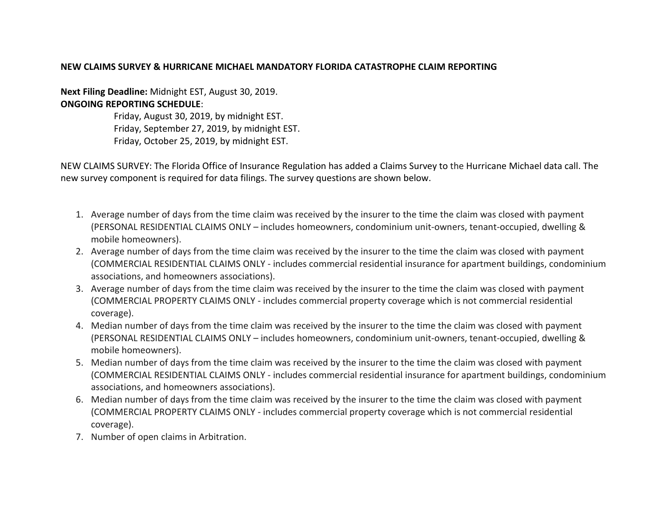## **NEW CLAIMS SURVEY & HURRICANE MICHAEL MANDATORY FLORIDA CATASTROPHE CLAIM REPORTING**

**Next Filing Deadline:** Midnight EST, August 30, 2019. **ONGOING REPORTING SCHEDULE**:

> Friday, August 30, 2019, by midnight EST. Friday, September 27, 2019, by midnight EST. Friday, October 25, 2019, by midnight EST.

NEW CLAIMS SURVEY: The Florida Office of Insurance Regulation has added a Claims Survey to the Hurricane Michael data call. The new survey component is required for data filings. The survey questions are shown below.

- 1. Average number of days from the time claim was received by the insurer to the time the claim was closed with payment (PERSONAL RESIDENTIAL CLAIMS ONLY – includes homeowners, condominium unit-owners, tenant-occupied, dwelling & mobile homeowners).
- 2. Average number of days from the time claim was received by the insurer to the time the claim was closed with payment (COMMERCIAL RESIDENTIAL CLAIMS ONLY - includes commercial residential insurance for apartment buildings, condominium associations, and homeowners associations).
- 3. Average number of days from the time claim was received by the insurer to the time the claim was closed with payment (COMMERCIAL PROPERTY CLAIMS ONLY - includes commercial property coverage which is not commercial residential coverage).
- 4. Median number of days from the time claim was received by the insurer to the time the claim was closed with payment (PERSONAL RESIDENTIAL CLAIMS ONLY – includes homeowners, condominium unit-owners, tenant-occupied, dwelling & mobile homeowners).
- 5. Median number of days from the time claim was received by the insurer to the time the claim was closed with payment (COMMERCIAL RESIDENTIAL CLAIMS ONLY - includes commercial residential insurance for apartment buildings, condominium associations, and homeowners associations).
- 6. Median number of days from the time claim was received by the insurer to the time the claim was closed with payment (COMMERCIAL PROPERTY CLAIMS ONLY - includes commercial property coverage which is not commercial residential coverage).
- 7. Number of open claims in Arbitration.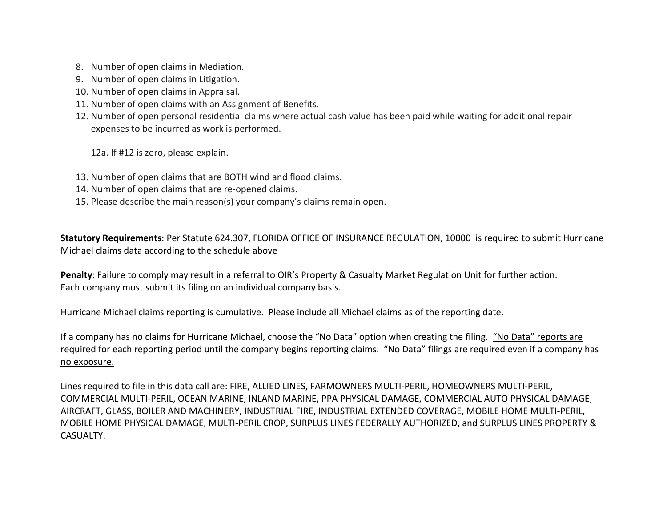- 8. Number of open claims in Mediation.
- 9. Number of open claims in Litigation.
- 10. Number of open claims in Appraisal.
- 11. Number of open claims with an Assignment of Benefits.
- 12. Number of open personal residential claims where actual cash value has been paid while waiting for additional repair expenses to be incurred as work is performed.

12a. If #12 is zero, please explain.

- 13. Number of open claims that are BOTH wind and flood claims.
- 14. Number of open claims that are re-opened claims.
- 15. Please describe the main reason(s) your company's claims remain open.

**Statutory Requirements**: Per Statute 624.307, FLORIDA OFFICE OF INSURANCE REGULATION, 10000 is required to submit Hurricane Michael claims data according to the schedule above

**Penalty**: Failure to comply may result in a referral to OIR's Property & Casualty Market Regulation Unit for further action. Each company must submit its filing on an individual company basis.

Hurricane Michael claims reporting is cumulative. Please include all Michael claims as of the reporting date.

If a company has no claims for Hurricane Michael, choose the "No Data" option when creating the filing. "No Data" reports are required for each reporting period until the company begins reporting claims. "No Data" filings are required even if a company has no exposure.

Lines required to file in this data call are: FIRE, ALLIED LINES, FARMOWNERS MULTI-PERIL, HOMEOWNERS MULTI-PERIL, COMMERCIAL MULTI-PERIL, OCEAN MARINE, INLAND MARINE, PPA PHYSICAL DAMAGE, COMMERCIAL AUTO PHYSICAL DAMAGE, AIRCRAFT, GLASS, BOILER AND MACHINERY, INDUSTRIAL FIRE, INDUSTRIAL EXTENDED COVERAGE, MOBILE HOME MULTI-PERIL, MOBILE HOME PHYSICAL DAMAGE, MULTI-PERIL CROP, SURPLUS LINES FEDERALLY AUTHORIZED, and SURPLUS LINES PROPERTY & CASUALTY.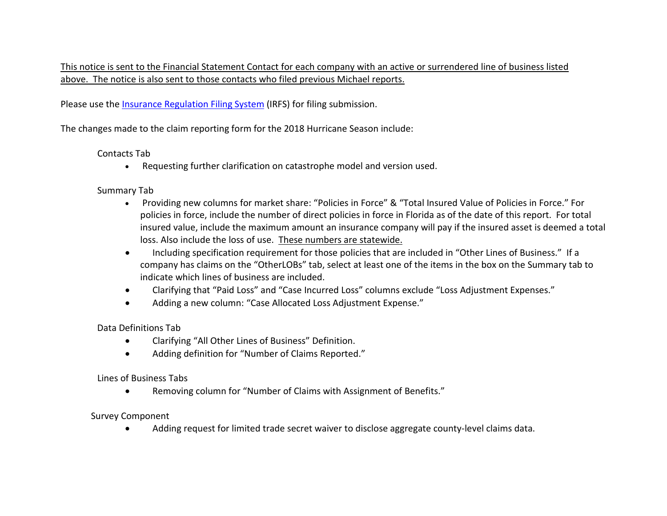This notice is sent to the Financial Statement Contact for each company with an active or surrendered line of business listed above. The notice is also sent to those contacts who filed previous Michael reports.

Please use the *[Insurance Regulation Filing System](https://na01.safelinks.protection.outlook.com/?url=https%3A%2F%2Furldefense.proofpoint.com%2Fv2%2Furl%3Fu%3Dhttps-3A__irfs.fldfs.com_%26d%3DDwMFAg%26c%3D9g4MJkl2VjLjS6R4ei18BA%26r%3DyRekW6EM4gYU6p7x7ClDL82TME2Dm0atzYXtVymPd-8%26m%3DcvlN2-xzddXwZCVLaS18OyfQkfKkd_4B9Utw8OWjmik%26s%3DzEE-hG06NvXqN82OPSMHO8X_Hjfep1jb5_ZQgM-OmNM%26e%3D&data=02%7C01%7CDisasterReporting%40floir.com%7C01b39e838a3e49ff288108d62e12d95a%7Ce371f8a669614553bbc7c148bfd157b7%7C0%7C0%7C636747055852134326&sdata=IhEYQefAfYnXlrnha5VbIH8fcNEtS6padjdFtHIiM5A%3D&reserved=0)* (IRFS) for filing submission.

The changes made to the claim reporting form for the 2018 Hurricane Season include:

## Contacts Tab

• Requesting further clarification on catastrophe model and version used.

Summary Tab

- Providing new columns for market share: "Policies in Force" & "Total Insured Value of Policies in Force." For policies in force, include the number of direct policies in force in Florida as of the date of this report. For total insured value, include the maximum amount an insurance company will pay if the insured asset is deemed a total loss. Also include the loss of use. These numbers are statewide.
- Including specification requirement for those policies that are included in "Other Lines of Business." If a company has claims on the "OtherLOBs" tab, select at least one of the items in the box on the Summary tab to indicate which lines of business are included.
- Clarifying that "Paid Loss" and "Case Incurred Loss" columns exclude "Loss Adjustment Expenses."
- Adding a new column: "Case Allocated Loss Adjustment Expense."

Data Definitions Tab

- Clarifying "All Other Lines of Business" Definition.
- Adding definition for "Number of Claims Reported."

Lines of Business Tabs

• Removing column for "Number of Claims with Assignment of Benefits."

Survey Component

• Adding request for limited trade secret waiver to disclose aggregate county-level claims data.